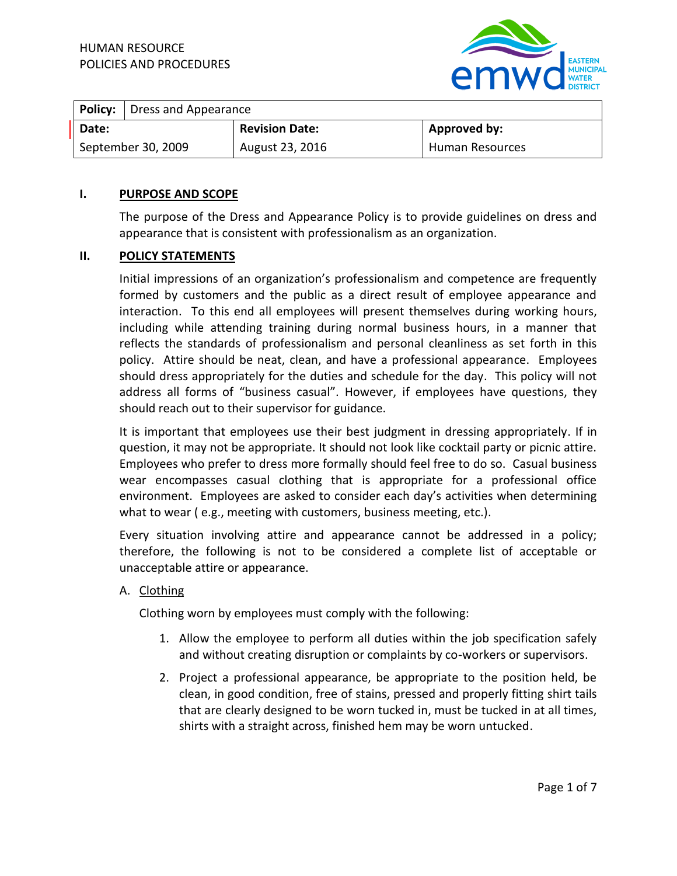

|                    | <b>Policy:</b> Dress and Appearance |                       |                 |
|--------------------|-------------------------------------|-----------------------|-----------------|
| Date:              |                                     | <b>Revision Date:</b> | Approved by:    |
| September 30, 2009 |                                     | August 23, 2016       | Human Resources |

#### **I. PURPOSE AND SCOPE**

The purpose of the Dress and Appearance Policy is to provide guidelines on dress and appearance that is consistent with professionalism as an organization.

#### **II. POLICY STATEMENTS**

Initial impressions of an organization's professionalism and competence are frequently formed by customers and the public as a direct result of employee appearance and interaction. To this end all employees will present themselves during working hours, including while attending training during normal business hours, in a manner that reflects the standards of professionalism and personal cleanliness as set forth in this policy. Attire should be neat, clean, and have a professional appearance. Employees should dress appropriately for the duties and schedule for the day. This policy will not address all forms of "business casual". However, if employees have questions, they should reach out to their supervisor for guidance.

It is important that employees use their best judgment in dressing appropriately. If in question, it may not be appropriate. It should not look like cocktail party or picnic attire. Employees who prefer to dress more formally should feel free to do so. Casual business wear encompasses casual clothing that is appropriate for a professional office environment. Employees are asked to consider each day's activities when determining what to wear ( e.g., meeting with customers, business meeting, etc.).

Every situation involving attire and appearance cannot be addressed in a policy; therefore, the following is not to be considered a complete list of acceptable or unacceptable attire or appearance.

A. Clothing

Clothing worn by employees must comply with the following:

- 1. Allow the employee to perform all duties within the job specification safely and without creating disruption or complaints by co-workers or supervisors.
- 2. Project a professional appearance, be appropriate to the position held, be clean, in good condition, free of stains, pressed and properly fitting shirt tails that are clearly designed to be worn tucked in, must be tucked in at all times, shirts with a straight across, finished hem may be worn untucked.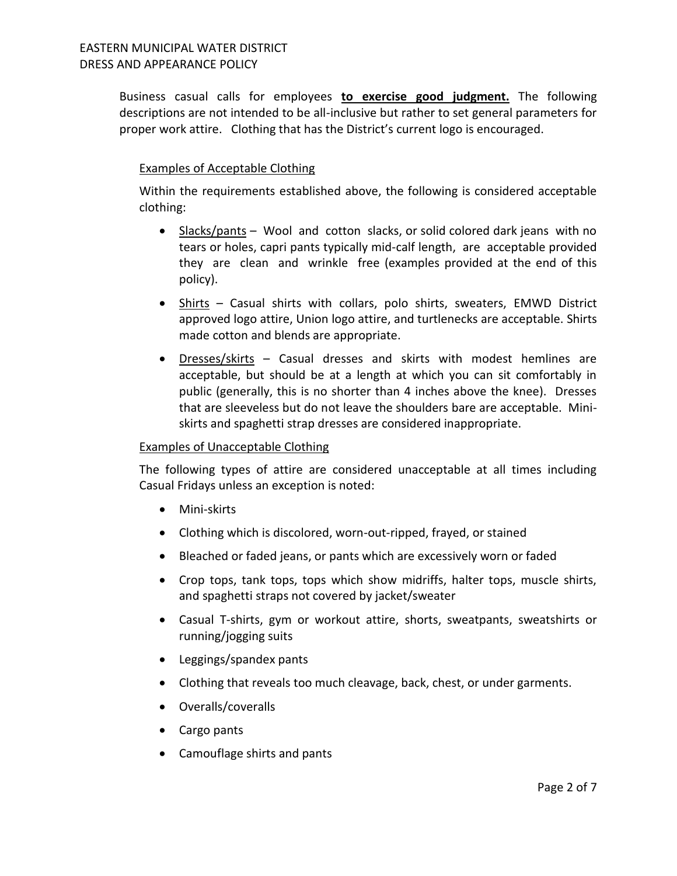Business casual calls for employees **to exercise good judgment.** The following descriptions are not intended to be all-inclusive but rather to set general parameters for proper work attire. Clothing that has the District's current logo is encouraged.

### Examples of Acceptable Clothing

Within the requirements established above, the following is considered acceptable clothing:

- Slacks/pants Wool and cotton slacks, or solid colored dark jeans with no tears or holes, capri pants typically mid-calf length, are acceptable provided they are clean and wrinkle free (examples provided at the end of this policy).
- Shirts Casual shirts with collars, polo shirts, sweaters, EMWD District approved logo attire, Union logo attire, and turtlenecks are acceptable. Shirts made cotton and blends are appropriate.
- Dresses/skirts Casual dresses and skirts with modest hemlines are acceptable, but should be at a length at which you can sit comfortably in public (generally, this is no shorter than 4 inches above the knee). Dresses that are sleeveless but do not leave the shoulders bare are acceptable. Miniskirts and spaghetti strap dresses are considered inappropriate.

### Examples of Unacceptable Clothing

The following types of attire are considered unacceptable at all times including Casual Fridays unless an exception is noted:

- Mini-skirts
- Clothing which is discolored, worn-out-ripped, frayed, or stained
- Bleached or faded jeans, or pants which are excessively worn or faded
- Crop tops, tank tops, tops which show midriffs, halter tops, muscle shirts, and spaghetti straps not covered by jacket/sweater
- Casual T-shirts, gym or workout attire, shorts, sweatpants, sweatshirts or running/jogging suits
- Leggings/spandex pants
- Clothing that reveals too much cleavage, back, chest, or under garments.
- Overalls/coveralls
- Cargo pants
- Camouflage shirts and pants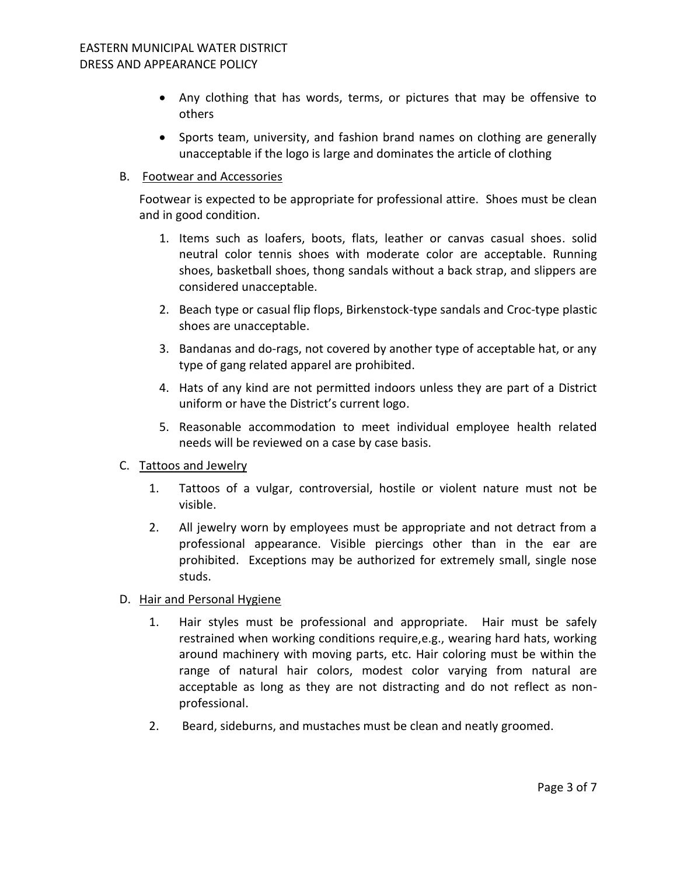- Any clothing that has words, terms, or pictures that may be offensive to others
- Sports team, university, and fashion brand names on clothing are generally unacceptable if the logo is large and dominates the article of clothing

### B. Footwear and Accessories

Footwear is expected to be appropriate for professional attire. Shoes must be clean and in good condition.

- 1. Items such as loafers, boots, flats, leather or canvas casual shoes. solid neutral color tennis shoes with moderate color are acceptable. Running shoes, basketball shoes, thong sandals without a back strap, and slippers are considered unacceptable.
- 2. Beach type or casual flip flops, Birkenstock-type sandals and Croc-type plastic shoes are unacceptable.
- 3. Bandanas and do-rags, not covered by another type of acceptable hat, or any type of gang related apparel are prohibited.
- 4. Hats of any kind are not permitted indoors unless they are part of a District uniform or have the District's current logo.
- 5. Reasonable accommodation to meet individual employee health related needs will be reviewed on a case by case basis.

### C. Tattoos and Jewelry

- 1. Tattoos of a vulgar, controversial, hostile or violent nature must not be visible.
- 2. All jewelry worn by employees must be appropriate and not detract from a professional appearance. Visible piercings other than in the ear are prohibited. Exceptions may be authorized for extremely small, single nose studs.
- D. Hair and Personal Hygiene
	- 1. Hair styles must be professional and appropriate. Hair must be safely restrained when working conditions require,e.g., wearing hard hats, working around machinery with moving parts, etc. Hair coloring must be within the range of natural hair colors, modest color varying from natural are acceptable as long as they are not distracting and do not reflect as nonprofessional.
	- 2. Beard, sideburns, and mustaches must be clean and neatly groomed.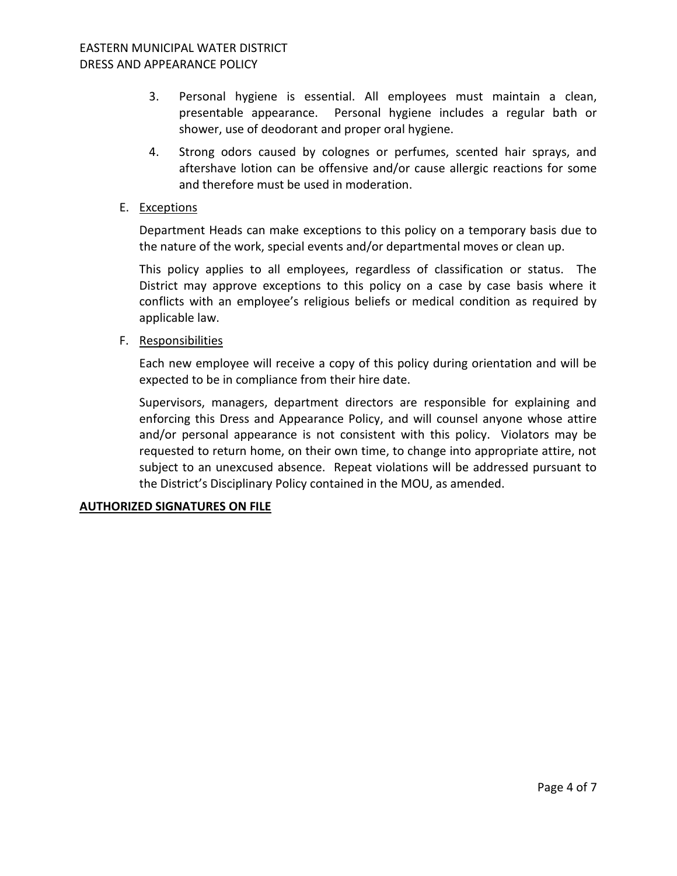- 3. Personal hygiene is essential. All employees must maintain a clean, presentable appearance. Personal hygiene includes a regular bath or shower, use of deodorant and proper oral hygiene.
- 4. Strong odors caused by colognes or perfumes, scented hair sprays, and aftershave lotion can be offensive and/or cause allergic reactions for some and therefore must be used in moderation.
- E. Exceptions

Department Heads can make exceptions to this policy on a temporary basis due to the nature of the work, special events and/or departmental moves or clean up.

This policy applies to all employees, regardless of classification or status. The District may approve exceptions to this policy on a case by case basis where it conflicts with an employee's religious beliefs or medical condition as required by applicable law.

F. Responsibilities

Each new employee will receive a copy of this policy during orientation and will be expected to be in compliance from their hire date.

Supervisors, managers, department directors are responsible for explaining and enforcing this Dress and Appearance Policy, and will counsel anyone whose attire and/or personal appearance is not consistent with this policy. Violators may be requested to return home, on their own time, to change into appropriate attire, not subject to an unexcused absence. Repeat violations will be addressed pursuant to the District's Disciplinary Policy contained in the MOU, as amended.

### **AUTHORIZED SIGNATURES ON FILE**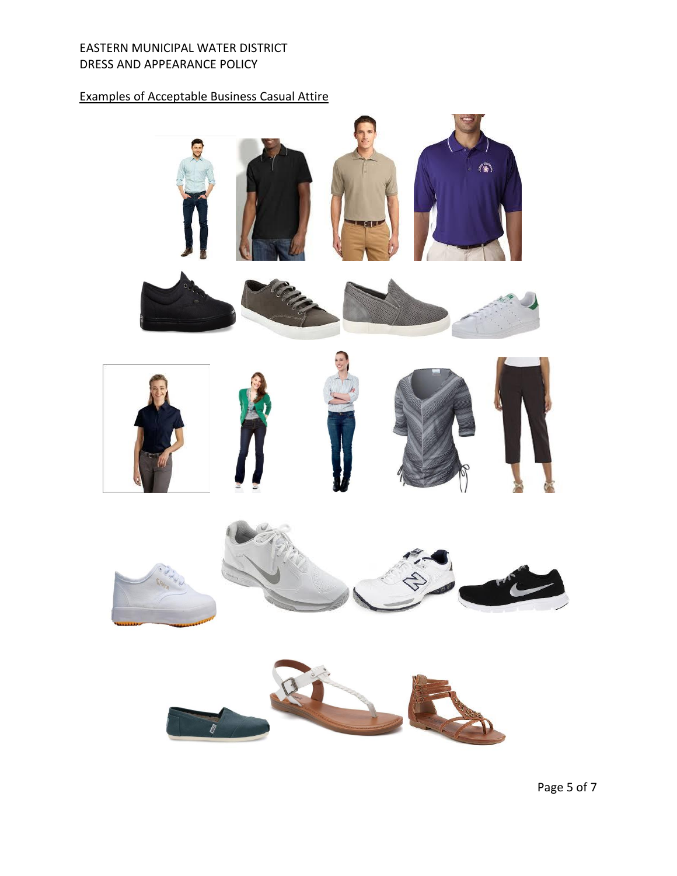### EASTERN MUNICIPAL WATER DISTRICT DRESS AND APPEARANCE POLICY

# Examples of Acceptable Business Casual Attire





Page 5 of 7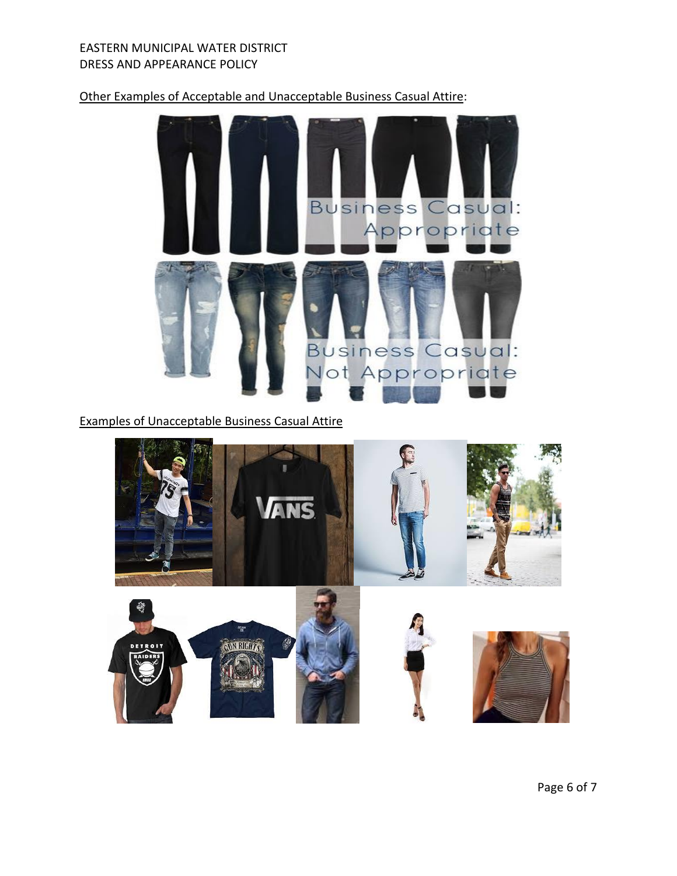### EASTERN MUNICIPAL WATER DISTRICT DRESS AND APPEARANCE POLICY

## Other Examples of Acceptable and Unacceptable Business Casual Attire:



Examples of Unacceptable Business Casual Attire